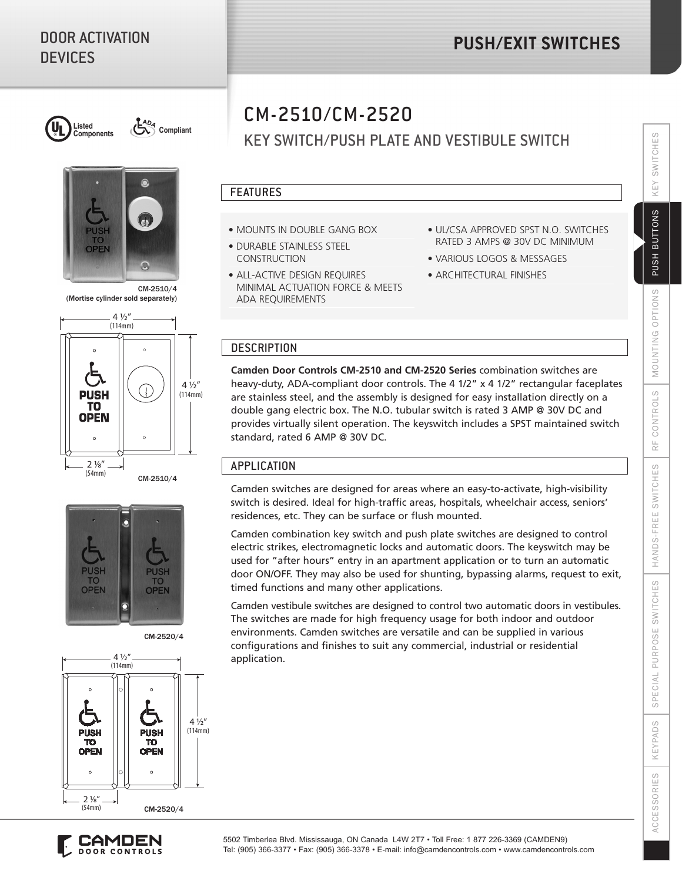

Listed<br> **Compliant** (C<sub>2</sub><sup>4*D<sub>4</sub>*</sub> Compliant</sup>



CM-2510/4 (Mortise cylinder sold separately)



CM-2510/4



CM-2520/4





## KEY SWITCH/PUSH PLATE AND VESTIBULE SWITCH

#### FEATURES

- MOUNTS IN DOUBLE GANG BOX
- DURABLE STAINLESS STEEL CONSTRUCTION
- ALL-ACTIVE DESIGN REQUIRES MINIMAL ACTUATION FORCE & MEETS ADA REQUIREMENTS
- UL/CSA APPROVED SPST N.O. SWITCHES RATED 3 AMPS @ 30V DC MINIMUM
- VARIOUS LOGOS & MESSAGES
- ARCHITECTURAL FINISHES

### **DESCRIPTION**

**Camden Door Controls CM-2510 and CM-2520 Series** combination switches are heavy-duty, ADA-compliant door controls. The 4 1/2" x 4 1/2" rectangular faceplates are stainless steel, and the assembly is designed for easy installation directly on a double gang electric box. The N.O. tubular switch is rated 3 AMP @ 30V DC and provides virtually silent operation. The keyswitch includes a SPST maintained switch standard, rated 6 AMP @ 30V DC.

### APPLICATION

Camden switches are designed for areas where an easy-to-activate, high-visibility switch is desired. Ideal for high-traffic areas, hospitals, wheelchair access, seniors' residences, etc. They can be surface or flush mounted.

Camden combination key switch and push plate switches are designed to control electric strikes, electromagnetic locks and automatic doors. The keyswitch may be used for "after hours" entry in an apartment application or to turn an automatic door ON/OFF. They may also be used for shunting, bypassing alarms, request to exit, timed functions and many other applications.

Camden vestibule switches are designed to control two automatic doors in vestibules. The switches are made for high frequency usage for both indoor and outdoor environments. Camden switches are versatile and can be supplied in various configurations and finishes to suit any commercial, industrial or residential application.

5502 Timberlea Blvd. Mississauga, ON Canada L4W 2T7 • Toll Free: 1 877 226-3369 (CAMDEN9) Tel: (905) 366-3377 • Fax: (905) 366-3378 • E-mail: info@camdencontrols.com • www.camdencontrols.com SWITCHES

KEY

PUSH BUTTONS

OPTIONS

# CM-2510/CM-2520